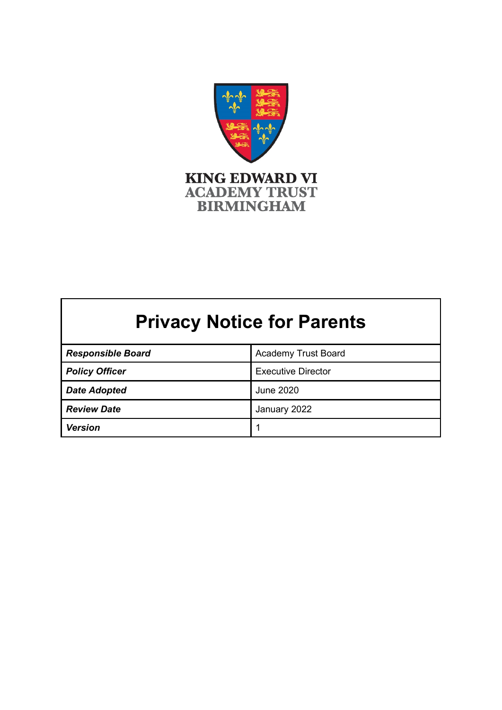

# **Privacy Notice for Parents**

| <b>Responsible Board</b> | <b>Academy Trust Board</b> |
|--------------------------|----------------------------|
| <b>Policy Officer</b>    | <b>Executive Director</b>  |
| <b>Date Adopted</b>      | June 2020                  |
| <b>Review Date</b>       | January 2022               |
| <b>Version</b>           |                            |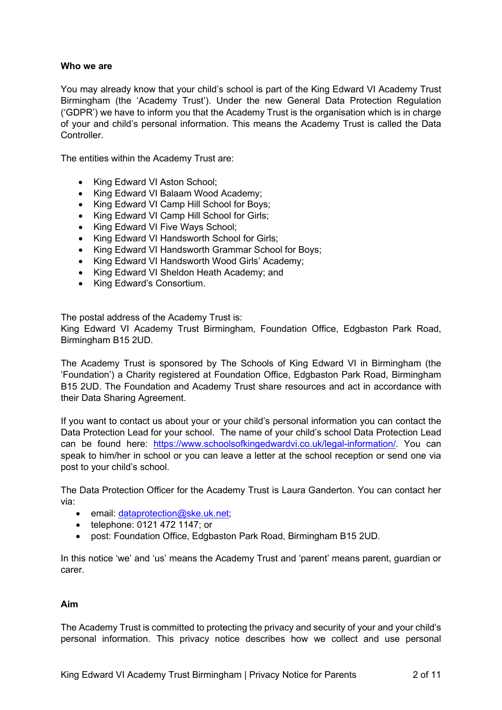#### **Who we are**

You may already know that your child's school is part of the King Edward VI Academy Trust Birmingham (the 'Academy Trust'). Under the new General Data Protection Regulation ('GDPR') we have to inform you that the Academy Trust is the organisation which is in charge of your and child's personal information. This means the Academy Trust is called the Data **Controller** 

The entities within the Academy Trust are:

- King Edward VI Aston School:
- King Edward VI Balaam Wood Academy;
- King Edward VI Camp Hill School for Boys;
- King Edward VI Camp Hill School for Girls:
- King Edward VI Five Ways School;
- King Edward VI Handsworth School for Girls;
- King Edward VI Handsworth Grammar School for Boys;
- King Edward VI Handsworth Wood Girls' Academy;
- King Edward VI Sheldon Heath Academy; and
- King Edward's Consortium.

The postal address of the Academy Trust is:

King Edward VI Academy Trust Birmingham, Foundation Office, Edgbaston Park Road, Birmingham B15 2UD.

The Academy Trust is sponsored by The Schools of King Edward VI in Birmingham (the 'Foundation') a Charity registered at Foundation Office, Edgbaston Park Road, Birmingham B15 2UD. The Foundation and Academy Trust share resources and act in accordance with their Data Sharing Agreement.

If you want to contact us about your or your child's personal information you can contact the Data Protection Lead for your school. The name of your child's school Data Protection Lead can be found here: [https://www.schoolsofkingedwardvi.co.uk/legal-information/.](https://www.schoolsofkingedwardvi.co.uk/legal-information/) You can speak to him/her in school or you can leave a letter at the school reception or send one via post to your child's school.

The Data Protection Officer for the Academy Trust is Laura Ganderton. You can contact her via:

- email: [dataprotection@ske.uk.net;](mailto:dataprotection@ske.uk.net)
- telephone: 0121 472 1147; or
- post: Foundation Office, Edgbaston Park Road, Birmingham B15 2UD.

In this notice 'we' and 'us' means the Academy Trust and 'parent' means parent, guardian or carer.

#### **Aim**

The Academy Trust is committed to protecting the privacy and security of your and your child's personal information. This privacy notice describes how we collect and use personal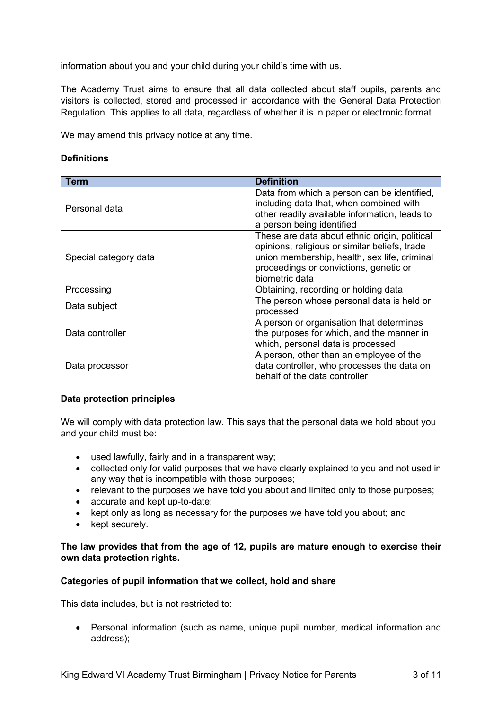information about you and your child during your child's time with us.

The Academy Trust aims to ensure that all data collected about staff pupils, parents and visitors is collected, stored and processed in accordance with the General Data Protection Regulation. This applies to all data, regardless of whether it is in paper or electronic format.

We may amend this privacy notice at any time.

#### **Definitions**

| Term                  | <b>Definition</b>                                                                                                                                                                                          |
|-----------------------|------------------------------------------------------------------------------------------------------------------------------------------------------------------------------------------------------------|
| Personal data         | Data from which a person can be identified,<br>including data that, when combined with<br>other readily available information, leads to<br>a person being identified                                       |
| Special category data | These are data about ethnic origin, political<br>opinions, religious or similar beliefs, trade<br>union membership, health, sex life, criminal<br>proceedings or convictions, genetic or<br>biometric data |
| Processing            | Obtaining, recording or holding data                                                                                                                                                                       |
| Data subject          | The person whose personal data is held or<br>processed                                                                                                                                                     |
| Data controller       | A person or organisation that determines<br>the purposes for which, and the manner in<br>which, personal data is processed                                                                                 |
| Data processor        | A person, other than an employee of the<br>data controller, who processes the data on<br>behalf of the data controller                                                                                     |

# **Data protection principles**

We will comply with data protection law. This says that the personal data we hold about you and your child must be:

- used lawfully, fairly and in a transparent way;
- collected only for valid purposes that we have clearly explained to you and not used in any way that is incompatible with those purposes;
- relevant to the purposes we have told you about and limited only to those purposes;
- accurate and kept up-to-date;
- kept only as long as necessary for the purposes we have told you about; and
- kept securely.

# **The law provides that from the age of 12, pupils are mature enough to exercise their own data protection rights.**

# **Categories of pupil information that we collect, hold and share**

This data includes, but is not restricted to:

• Personal information (such as name, unique pupil number, medical information and address);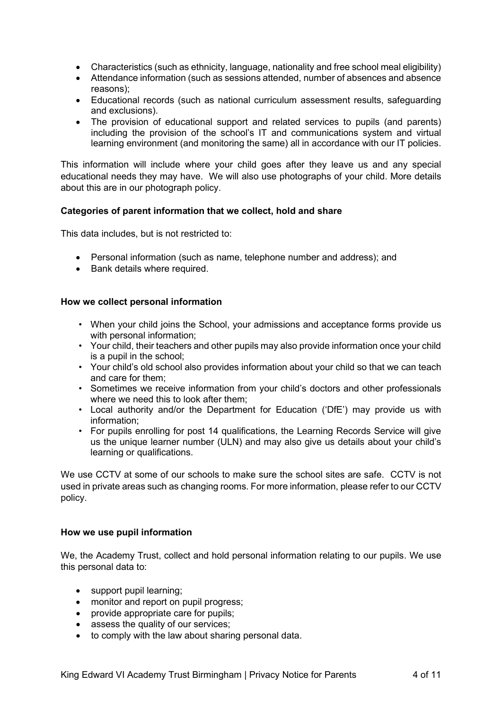- Characteristics (such as ethnicity, language, nationality and free school meal eligibility)
- Attendance information (such as sessions attended, number of absences and absence reasons);
- Educational records (such as national curriculum assessment results, safeguarding and exclusions).
- The provision of educational support and related services to pupils (and parents) including the provision of the school's IT and communications system and virtual learning environment (and monitoring the same) all in accordance with our IT policies.

This information will include where your child goes after they leave us and any special educational needs they may have. We will also use photographs of your child. More details about this are in our photograph policy.

# **Categories of parent information that we collect, hold and share**

This data includes, but is not restricted to:

- Personal information (such as name, telephone number and address); and
- Bank details where required.

# **How we collect personal information**

- When your child joins the School, your admissions and acceptance forms provide us with personal information;
- Your child, their teachers and other pupils may also provide information once your child is a pupil in the school;
- Your child's old school also provides information about your child so that we can teach and care for them;
- Sometimes we receive information from your child's doctors and other professionals where we need this to look after them:
- Local authority and/or the Department for Education ('DfE') may provide us with information;
- For pupils enrolling for post 14 qualifications, the Learning Records Service will give us the unique learner number (ULN) and may also give us details about your child's learning or qualifications.

We use CCTV at some of our schools to make sure the school sites are safe. CCTV is not used in private areas such as changing rooms. For more information, please refer to our CCTV policy.

# **How we use pupil information**

We, the Academy Trust, collect and hold personal information relating to our pupils. We use this personal data to:

- support pupil learning;
- monitor and report on pupil progress;
- provide appropriate care for pupils;
- assess the quality of our services;
- to comply with the law about sharing personal data.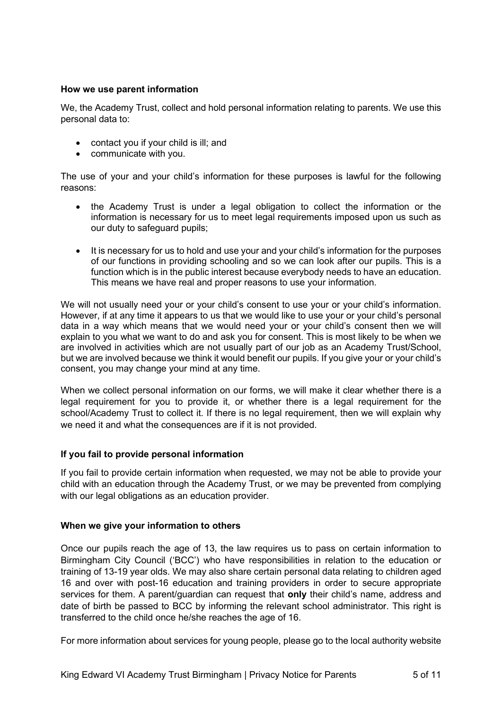## **How we use parent information**

We, the Academy Trust, collect and hold personal information relating to parents. We use this personal data to:

- contact you if your child is ill; and
- communicate with you.

The use of your and your child's information for these purposes is lawful for the following reasons:

- the Academy Trust is under a legal obligation to collect the information or the information is necessary for us to meet legal requirements imposed upon us such as our duty to safeguard pupils;
- It is necessary for us to hold and use your and your child's information for the purposes of our functions in providing schooling and so we can look after our pupils. This is a function which is in the public interest because everybody needs to have an education. This means we have real and proper reasons to use your information.

We will not usually need your or your child's consent to use your or your child's information. However, if at any time it appears to us that we would like to use your or your child's personal data in a way which means that we would need your or your child's consent then we will explain to you what we want to do and ask you for consent. This is most likely to be when we are involved in activities which are not usually part of our job as an Academy Trust/School, but we are involved because we think it would benefit our pupils. If you give your or your child's consent, you may change your mind at any time.

When we collect personal information on our forms, we will make it clear whether there is a legal requirement for you to provide it, or whether there is a legal requirement for the school/Academy Trust to collect it. If there is no legal requirement, then we will explain why we need it and what the consequences are if it is not provided.

#### **If you fail to provide personal information**

If you fail to provide certain information when requested, we may not be able to provide your child with an education through the Academy Trust, or we may be prevented from complying with our legal obligations as an education provider.

#### **When we give your information to others**

Once our pupils reach the age of 13, the law requires us to pass on certain information to Birmingham City Council ('BCC') who have responsibilities in relation to the education or training of 13-19 year olds. We may also share certain personal data relating to children aged 16 and over with post-16 education and training providers in order to secure appropriate services for them. A parent/guardian can request that **only** their child's name, address and date of birth be passed to BCC by informing the relevant school administrator. This right is transferred to the child once he/she reaches the age of 16.

For more information about services for young people, please go to the local authority website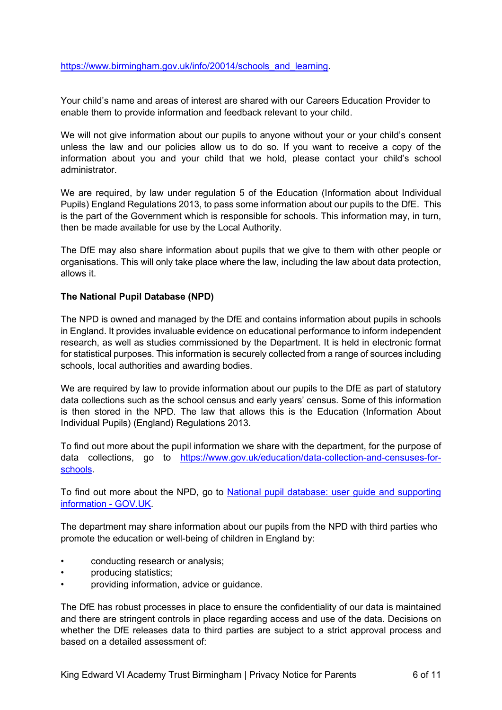[https://www.birmingham.gov.uk/info/20014/schools\\_and\\_learning.](https://www.birmingham.gov.uk/info/20014/schools_and_learning)

Your child's name and areas of interest are shared with our Careers Education Provider to enable them to provide information and feedback relevant to your child.

We will not give information about our pupils to anyone without your or your child's consent unless the law and our policies allow us to do so. If you want to receive a copy of the information about you and your child that we hold, please contact your child's school administrator.

We are required, by law under regulation 5 of the Education (Information about Individual Pupils) England Regulations 2013, to pass some information about our pupils to the DfE. This is the part of the Government which is responsible for schools. This information may, in turn, then be made available for use by the Local Authority.

The DfE may also share information about pupils that we give to them with other people or organisations. This will only take place where the law, including the law about data protection, allows it.

# **The National Pupil Database (NPD)**

The NPD is owned and managed by the DfE and contains information about pupils in schools in England. It provides invaluable evidence on educational performance to inform independent research, as well as studies commissioned by the Department. It is held in electronic format for statistical purposes. This information is securely collected from a range of sources including schools, local authorities and awarding bodies.

We are required by law to provide information about our pupils to the DfE as part of statutory data collections such as the school census and early years' census. Some of this information is then stored in the NPD. The law that allows this is the Education (Information About Individual Pupils) (England) Regulations 2013.

To find out more about the pupil information we share with the department, for the purpose of data collections, go to [https://www.gov.uk/education/data-collection-and-censuses-for](https://www.gov.uk/education/data-collection-and-censuses-for-schools)[schools.](https://www.gov.uk/education/data-collection-and-censuses-for-schools)

To find out more about the NPD, go to National pupil database: user guide and supporting [information -](https://www.gov.uk/government/publications/national-pupil-database-user-guide-and-supporting-information) GOV.UK.

The department may share information about our pupils from the NPD with third parties who promote the education or well-being of children in England by:

- conducting research or analysis;
- producing statistics;
- providing information, advice or guidance.

The DfE has robust processes in place to ensure the confidentiality of our data is maintained and there are stringent controls in place regarding access and use of the data. Decisions on whether the DfE releases data to third parties are subject to a strict approval process and based on a detailed assessment of: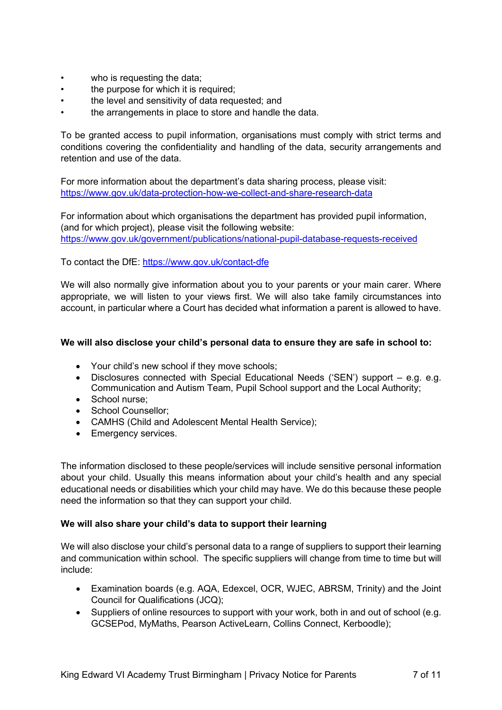- who is requesting the data;
- the purpose for which it is required:
- the level and sensitivity of data requested; and
- the arrangements in place to store and handle the data.

To be granted access to pupil information, organisations must comply with strict terms and conditions covering the confidentiality and handling of the data, security arrangements and retention and use of the data.

For more information about the department's data sharing process, please visit: [https://www.gov.uk/data-protection-how-we-collect-and-share-research-data](https://www.gov.uk/guidance/data-protection-how-we-collect-and-share-research-data)

For information about which organisations the department has provided pupil information, (and for which project), please visit the following website: <https://www.gov.uk/government/publications/national-pupil-database-requests-received>

To contact the DfE:<https://www.gov.uk/contact-dfe>

We will also normally give information about you to your parents or your main carer. Where appropriate, we will listen to your views first. We will also take family circumstances into account, in particular where a Court has decided what information a parent is allowed to have.

# **We will also disclose your child's personal data to ensure they are safe in school to:**

- Your child's new school if they move schools;
- Disclosures connected with Special Educational Needs ('SEN') support e.g. e.g. Communication and Autism Team, Pupil School support and the Local Authority;
- School nurse:
- School Counsellor;
- CAMHS (Child and Adolescent Mental Health Service);
- Emergency services.

The information disclosed to these people/services will include sensitive personal information about your child. Usually this means information about your child's health and any special educational needs or disabilities which your child may have. We do this because these people need the information so that they can support your child.

# **We will also share your child's data to support their learning**

We will also disclose your child's personal data to a range of suppliers to support their learning and communication within school. The specific suppliers will change from time to time but will include:

- Examination boards (e.g. AQA, Edexcel, OCR, WJEC, ABRSM, Trinity) and the Joint Council for Qualifications (JCQ);
- Suppliers of online resources to support with your work, both in and out of school (e.g. GCSEPod, MyMaths, Pearson ActiveLearn, Collins Connect, Kerboodle);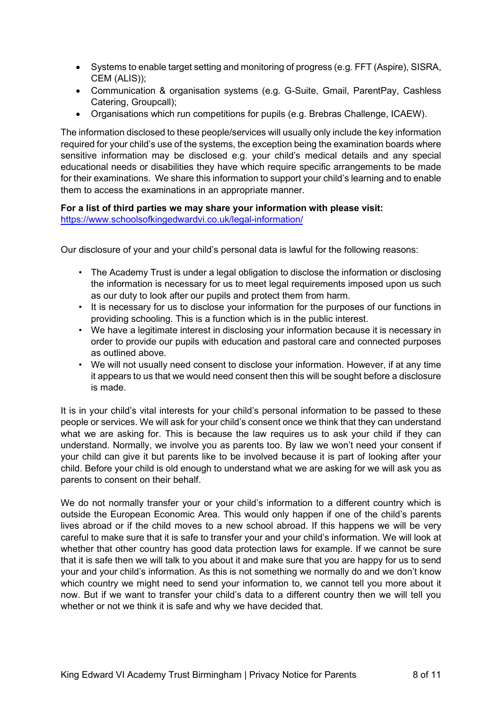- Systems to enable target setting and monitoring of progress (e.g. FFT (Aspire), SISRA, CEM (ALIS));
- Communication & organisation systems (e.g. G-Suite, Gmail, ParentPay, Cashless Catering, Groupcall);
- Organisations which run competitions for pupils (e.g. Brebras Challenge, ICAEW).

The information disclosed to these people/services will usually only include the key information required for your child's use of the systems, the exception being the examination boards where sensitive information may be disclosed e.g. your child's medical details and any special educational needs or disabilities they have which require specific arrangements to be made for their examinations. We share this information to support your child's learning and to enable them to access the examinations in an appropriate manner.

**For a list of third parties we may share your information with please visit:** <https://www.schoolsofkingedwardvi.co.uk/legal-information/>

Our disclosure of your and your child's personal data is lawful for the following reasons:

- The Academy Trust is under a legal obligation to disclose the information or disclosing the information is necessary for us to meet legal requirements imposed upon us such as our duty to look after our pupils and protect them from harm.
- It is necessary for us to disclose your information for the purposes of our functions in providing schooling. This is a function which is in the public interest.
- We have a legitimate interest in disclosing your information because it is necessary in order to provide our pupils with education and pastoral care and connected purposes as outlined above.
- We will not usually need consent to disclose your information. However, if at any time it appears to us that we would need consent then this will be sought before a disclosure is made.

It is in your child's vital interests for your child's personal information to be passed to these people or services. We will ask for your child's consent once we think that they can understand what we are asking for. This is because the law requires us to ask your child if they can understand. Normally, we involve you as parents too. By law we won't need your consent if your child can give it but parents like to be involved because it is part of looking after your child. Before your child is old enough to understand what we are asking for we will ask you as parents to consent on their behalf.

We do not normally transfer your or your child's information to a different country which is outside the European Economic Area. This would only happen if one of the child's parents lives abroad or if the child moves to a new school abroad. If this happens we will be very careful to make sure that it is safe to transfer your and your child's information. We will look at whether that other country has good data protection laws for example. If we cannot be sure that it is safe then we will talk to you about it and make sure that you are happy for us to send your and your child's information. As this is not something we normally do and we don't know which country we might need to send your information to, we cannot tell you more about it now. But if we want to transfer your child's data to a different country then we will tell you whether or not we think it is safe and why we have decided that.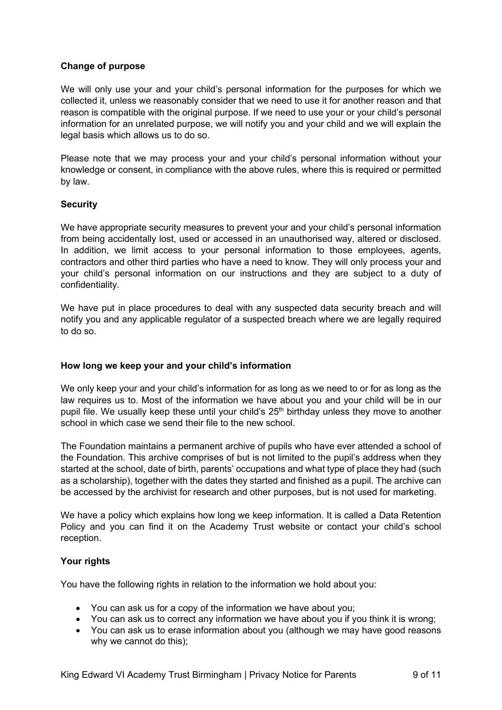# **Change of purpose**

We will only use your and your child's personal information for the purposes for which we collected it, unless we reasonably consider that we need to use it for another reason and that reason is compatible with the original purpose. If we need to use your or your child's personal information for an unrelated purpose, we will notify you and your child and we will explain the legal basis which allows us to do so.

Please note that we may process your and your child's personal information without your knowledge or consent, in compliance with the above rules, where this is required or permitted by law.

# **Security**

We have appropriate security measures to prevent your and your child's personal information from being accidentally lost, used or accessed in an unauthorised way, altered or disclosed. In addition, we limit access to your personal information to those employees, agents, contractors and other third parties who have a need to know. They will only process your and your child's personal information on our instructions and they are subject to a duty of confidentiality.

We have put in place procedures to deal with any suspected data security breach and will notify you and any applicable regulator of a suspected breach where we are legally required to do so.

# **How long we keep your and your child's information**

We only keep your and your child's information for as long as we need to or for as long as the law requires us to. Most of the information we have about you and your child will be in our pupil file. We usually keep these until your child's  $25<sup>th</sup>$  birthday unless they move to another school in which case we send their file to the new school.

The Foundation maintains a permanent archive of pupils who have ever attended a school of the Foundation. This archive comprises of but is not limited to the pupil's address when they started at the school, date of birth, parents' occupations and what type of place they had (such as a scholarship), together with the dates they started and finished as a pupil. The archive can be accessed by the archivist for research and other purposes, but is not used for marketing.

We have a policy which explains how long we keep information. It is called a Data Retention Policy and you can find it on the Academy Trust website or contact your child's school reception.

# **Your rights**

You have the following rights in relation to the information we hold about you:

- You can ask us for a copy of the information we have about you;
- You can ask us to correct any information we have about you if you think it is wrong:
- You can ask us to erase information about you (although we may have good reasons why we cannot do this);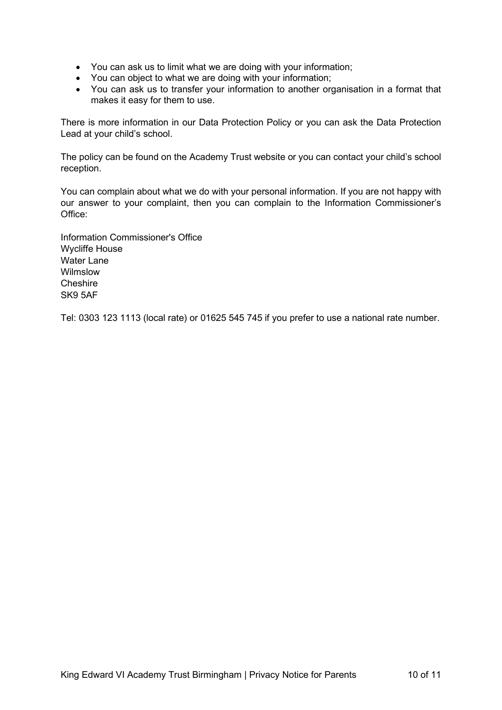- You can ask us to limit what we are doing with your information;
- You can object to what we are doing with your information;
- You can ask us to transfer your information to another organisation in a format that makes it easy for them to use.

There is more information in our Data Protection Policy or you can ask the Data Protection Lead at your child's school.

The policy can be found on the Academy Trust website or you can contact your child's school reception.

You can complain about what we do with your personal information. If you are not happy with our answer to your complaint, then you can complain to the Information Commissioner's Office:

Information Commissioner's Office Wycliffe House Water Lane Wilmslow Cheshire SK9 5AF

Tel: 0303 123 1113 (local rate) or 01625 545 745 if you prefer to use a national rate number.